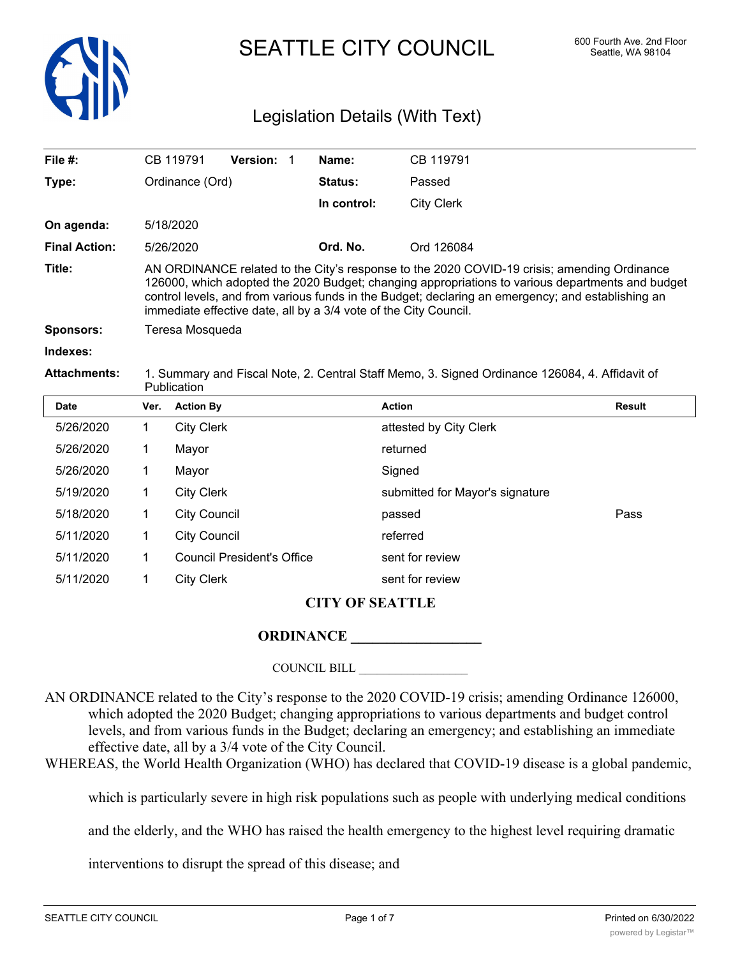

SEATTLE CITY COUNCIL 600 Fourth Ave. 2nd Floor

# Legislation Details (With Text)

| File $#$ :           |                                                                                                                                                                                                                                                                                                                                                                          | CB 119791         | Version: 1 |  | Name:          | CB 119791              |               |
|----------------------|--------------------------------------------------------------------------------------------------------------------------------------------------------------------------------------------------------------------------------------------------------------------------------------------------------------------------------------------------------------------------|-------------------|------------|--|----------------|------------------------|---------------|
| Type:                |                                                                                                                                                                                                                                                                                                                                                                          | Ordinance (Ord)   |            |  | <b>Status:</b> | Passed                 |               |
|                      |                                                                                                                                                                                                                                                                                                                                                                          |                   |            |  | In control:    | <b>City Clerk</b>      |               |
| On agenda:           |                                                                                                                                                                                                                                                                                                                                                                          | 5/18/2020         |            |  |                |                        |               |
| <b>Final Action:</b> |                                                                                                                                                                                                                                                                                                                                                                          | 5/26/2020         |            |  | Ord. No.       | Ord 126084             |               |
| Title:               | AN ORDINANCE related to the City's response to the 2020 COVID-19 crisis; amending Ordinance<br>126000, which adopted the 2020 Budget; changing appropriations to various departments and budget<br>control levels, and from various funds in the Budget; declaring an emergency; and establishing an<br>immediate effective date, all by a 3/4 vote of the City Council. |                   |            |  |                |                        |               |
| <b>Sponsors:</b>     |                                                                                                                                                                                                                                                                                                                                                                          | Teresa Mosqueda   |            |  |                |                        |               |
| Indexes:             |                                                                                                                                                                                                                                                                                                                                                                          |                   |            |  |                |                        |               |
| <b>Attachments:</b>  | 1. Summary and Fiscal Note, 2. Central Staff Memo, 3. Signed Ordinance 126084, 4. Affidavit of<br><b>Publication</b>                                                                                                                                                                                                                                                     |                   |            |  |                |                        |               |
| Date                 | Ver.                                                                                                                                                                                                                                                                                                                                                                     | <b>Action By</b>  |            |  |                | <b>Action</b>          | <b>Result</b> |
| 5/26/2020            | 1.                                                                                                                                                                                                                                                                                                                                                                       | <b>City Clerk</b> |            |  |                | attested by City Clerk |               |
| 5/26/2020            |                                                                                                                                                                                                                                                                                                                                                                          | Mayor             |            |  |                | returned               |               |

5/18/2020 1 City Council passed Pass 5/11/2020 1 City Council referred 5/11/2020 1 Council President's Office sent for review 5/11/2020 1 City Clerk sent for review

5/19/2020 1 City Clerk submitted for Mayor's signature

5/26/2020 1 Mayor Signed

#### **CITY OF SEATTLE**

## **ORDINANCE \_\_\_\_\_\_\_\_\_\_\_\_\_\_\_\_\_\_**

COUNCIL BILL \_\_\_\_\_\_\_\_\_\_\_\_\_\_\_\_\_\_

AN ORDINANCE related to the City's response to the 2020 COVID-19 crisis; amending Ordinance 126000, which adopted the 2020 Budget; changing appropriations to various departments and budget control levels, and from various funds in the Budget; declaring an emergency; and establishing an immediate effective date, all by a 3/4 vote of the City Council.

WHEREAS, the World Health Organization (WHO) has declared that COVID-19 disease is a global pandemic,

which is particularly severe in high risk populations such as people with underlying medical conditions

and the elderly, and the WHO has raised the health emergency to the highest level requiring dramatic

interventions to disrupt the spread of this disease; and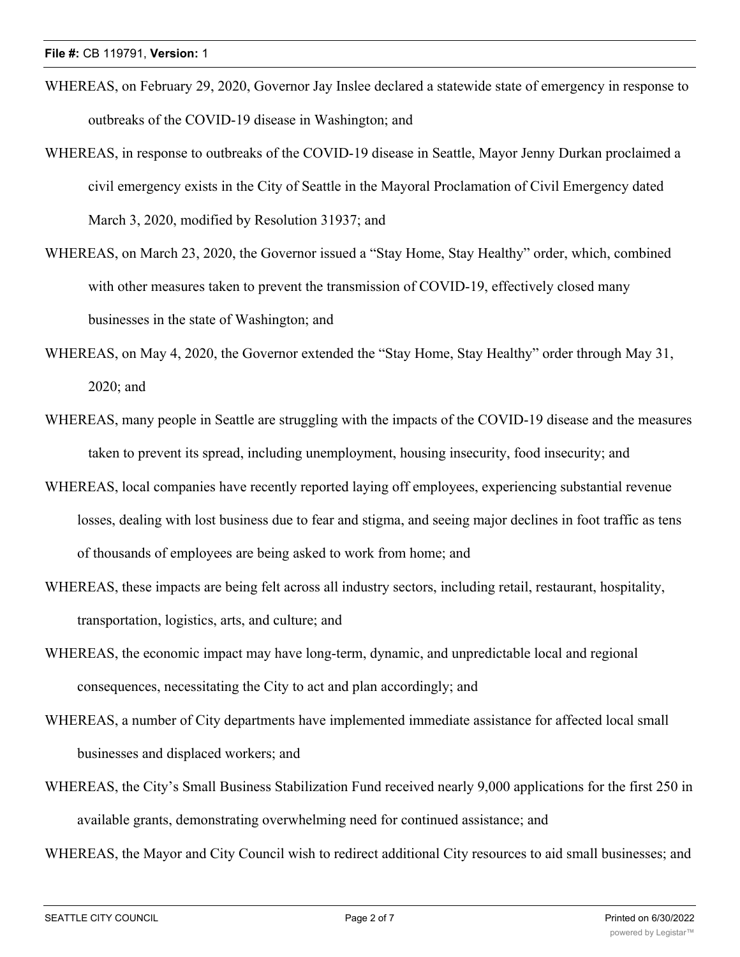- WHEREAS, on February 29, 2020, Governor Jay Inslee declared a statewide state of emergency in response to outbreaks of the COVID-19 disease in Washington; and
- WHEREAS, in response to outbreaks of the COVID-19 disease in Seattle, Mayor Jenny Durkan proclaimed a civil emergency exists in the City of Seattle in the Mayoral Proclamation of Civil Emergency dated March 3, 2020, modified by Resolution 31937; and
- WHEREAS, on March 23, 2020, the Governor issued a "Stay Home, Stay Healthy" order, which, combined with other measures taken to prevent the transmission of COVID-19, effectively closed many businesses in the state of Washington; and
- WHEREAS, on May 4, 2020, the Governor extended the "Stay Home, Stay Healthy" order through May 31, 2020; and
- WHEREAS, many people in Seattle are struggling with the impacts of the COVID-19 disease and the measures taken to prevent its spread, including unemployment, housing insecurity, food insecurity; and
- WHEREAS, local companies have recently reported laying off employees, experiencing substantial revenue losses, dealing with lost business due to fear and stigma, and seeing major declines in foot traffic as tens of thousands of employees are being asked to work from home; and
- WHEREAS, these impacts are being felt across all industry sectors, including retail, restaurant, hospitality, transportation, logistics, arts, and culture; and
- WHEREAS, the economic impact may have long-term, dynamic, and unpredictable local and regional consequences, necessitating the City to act and plan accordingly; and
- WHEREAS, a number of City departments have implemented immediate assistance for affected local small businesses and displaced workers; and
- WHEREAS, the City's Small Business Stabilization Fund received nearly 9,000 applications for the first 250 in available grants, demonstrating overwhelming need for continued assistance; and

WHEREAS, the Mayor and City Council wish to redirect additional City resources to aid small businesses; and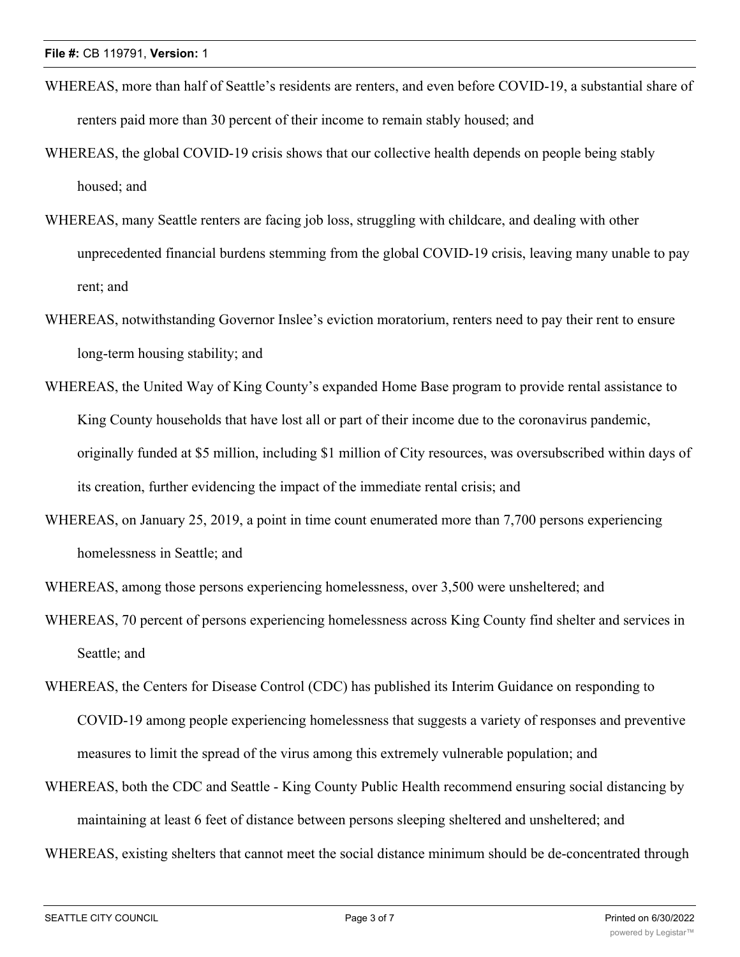- WHEREAS, more than half of Seattle's residents are renters, and even before COVID-19, a substantial share of renters paid more than 30 percent of their income to remain stably housed; and
- WHEREAS, the global COVID-19 crisis shows that our collective health depends on people being stably housed; and
- WHEREAS, many Seattle renters are facing job loss, struggling with childcare, and dealing with other unprecedented financial burdens stemming from the global COVID-19 crisis, leaving many unable to pay rent; and
- WHEREAS, notwithstanding Governor Inslee's eviction moratorium, renters need to pay their rent to ensure long-term housing stability; and
- WHEREAS, the United Way of King County's expanded Home Base program to provide rental assistance to King County households that have lost all or part of their income due to the coronavirus pandemic, originally funded at \$5 million, including \$1 million of City resources, was oversubscribed within days of its creation, further evidencing the impact of the immediate rental crisis; and
- WHEREAS, on January 25, 2019, a point in time count enumerated more than 7,700 persons experiencing homelessness in Seattle; and

WHEREAS, among those persons experiencing homelessness, over 3,500 were unsheltered; and

- WHEREAS, 70 percent of persons experiencing homelessness across King County find shelter and services in Seattle; and
- WHEREAS, the Centers for Disease Control (CDC) has published its Interim Guidance on responding to COVID-19 among people experiencing homelessness that suggests a variety of responses and preventive measures to limit the spread of the virus among this extremely vulnerable population; and
- WHEREAS, both the CDC and Seattle King County Public Health recommend ensuring social distancing by maintaining at least 6 feet of distance between persons sleeping sheltered and unsheltered; and
- WHEREAS, existing shelters that cannot meet the social distance minimum should be de-concentrated through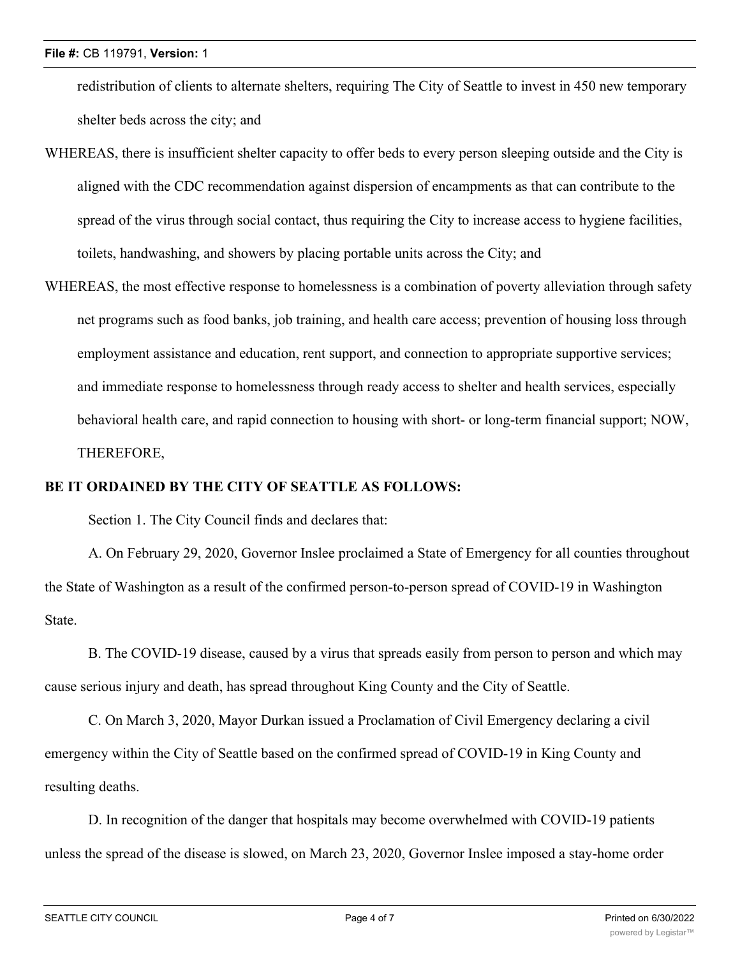redistribution of clients to alternate shelters, requiring The City of Seattle to invest in 450 new temporary shelter beds across the city; and

- WHEREAS, there is insufficient shelter capacity to offer beds to every person sleeping outside and the City is aligned with the CDC recommendation against dispersion of encampments as that can contribute to the spread of the virus through social contact, thus requiring the City to increase access to hygiene facilities, toilets, handwashing, and showers by placing portable units across the City; and
- WHEREAS, the most effective response to homelessness is a combination of poverty alleviation through safety net programs such as food banks, job training, and health care access; prevention of housing loss through employment assistance and education, rent support, and connection to appropriate supportive services; and immediate response to homelessness through ready access to shelter and health services, especially behavioral health care, and rapid connection to housing with short- or long-term financial support; NOW, THEREFORE,

### **BE IT ORDAINED BY THE CITY OF SEATTLE AS FOLLOWS:**

Section 1. The City Council finds and declares that:

A. On February 29, 2020, Governor Inslee proclaimed a State of Emergency for all counties throughout the State of Washington as a result of the confirmed person-to-person spread of COVID-19 in Washington State.

B. The COVID-19 disease, caused by a virus that spreads easily from person to person and which may cause serious injury and death, has spread throughout King County and the City of Seattle.

C. On March 3, 2020, Mayor Durkan issued a Proclamation of Civil Emergency declaring a civil emergency within the City of Seattle based on the confirmed spread of COVID-19 in King County and resulting deaths.

D. In recognition of the danger that hospitals may become overwhelmed with COVID-19 patients unless the spread of the disease is slowed, on March 23, 2020, Governor Inslee imposed a stay-home order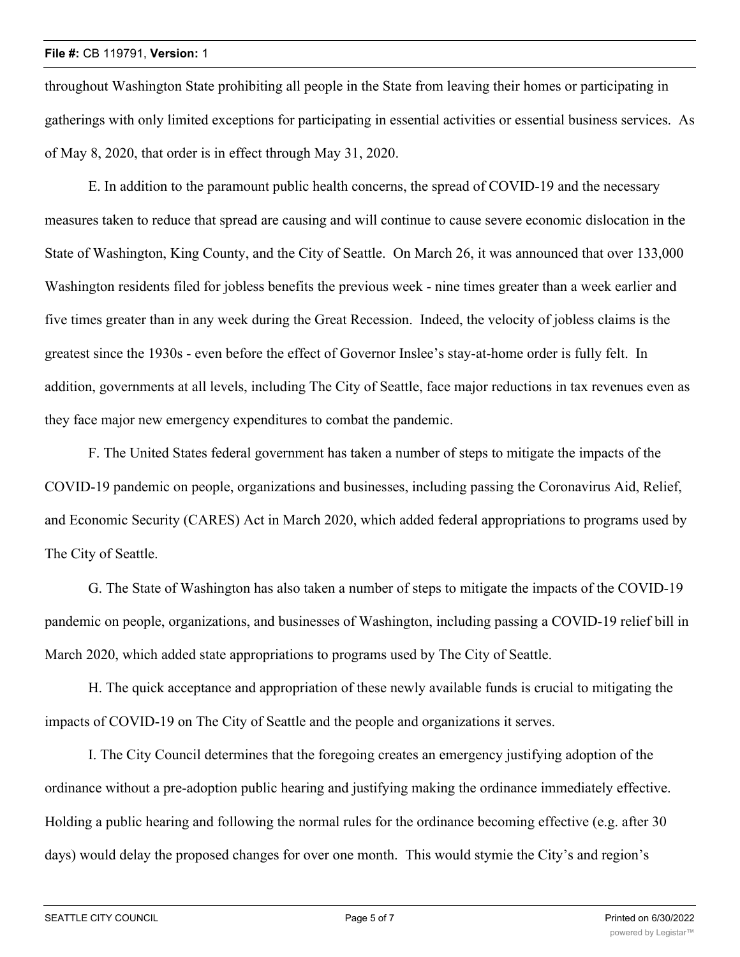throughout Washington State prohibiting all people in the State from leaving their homes or participating in gatherings with only limited exceptions for participating in essential activities or essential business services. As of May 8, 2020, that order is in effect through May 31, 2020.

E. In addition to the paramount public health concerns, the spread of COVID-19 and the necessary measures taken to reduce that spread are causing and will continue to cause severe economic dislocation in the State of Washington, King County, and the City of Seattle. On March 26, it was announced that over 133,000 Washington residents filed for jobless benefits the previous week - nine times greater than a week earlier and five times greater than in any week during the Great Recession. Indeed, the velocity of jobless claims is the greatest since the 1930s - even before the effect of Governor Inslee's stay-at-home order is fully felt. In addition, governments at all levels, including The City of Seattle, face major reductions in tax revenues even as they face major new emergency expenditures to combat the pandemic.

F. The United States federal government has taken a number of steps to mitigate the impacts of the COVID-19 pandemic on people, organizations and businesses, including passing the Coronavirus Aid, Relief, and Economic Security (CARES) Act in March 2020, which added federal appropriations to programs used by The City of Seattle.

G. The State of Washington has also taken a number of steps to mitigate the impacts of the COVID-19 pandemic on people, organizations, and businesses of Washington, including passing a COVID-19 relief bill in March 2020, which added state appropriations to programs used by The City of Seattle.

H. The quick acceptance and appropriation of these newly available funds is crucial to mitigating the impacts of COVID-19 on The City of Seattle and the people and organizations it serves.

I. The City Council determines that the foregoing creates an emergency justifying adoption of the ordinance without a pre-adoption public hearing and justifying making the ordinance immediately effective. Holding a public hearing and following the normal rules for the ordinance becoming effective (e.g. after 30 days) would delay the proposed changes for over one month. This would stymie the City's and region's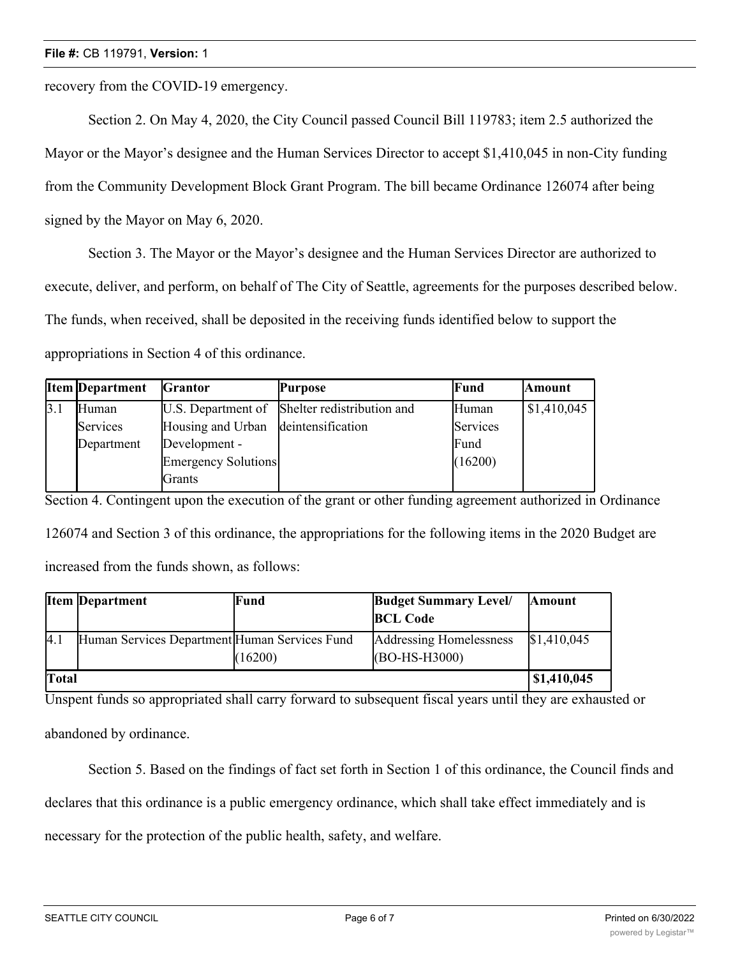recovery from the COVID-19 emergency.

Section 2. On May 4, 2020, the City Council passed Council Bill 119783; item 2.5 authorized the Mayor or the Mayor's designee and the Human Services Director to accept \$1,410,045 in non-City funding from the Community Development Block Grant Program. The bill became Ordinance 126074 after being signed by the Mayor on May 6, 2020.

Section 3. The Mayor or the Mayor's designee and the Human Services Director are authorized to execute, deliver, and perform, on behalf of The City of Seattle, agreements for the purposes described below. The funds, when received, shall be deposited in the receiving funds identified below to support the appropriations in Section 4 of this ordinance.

|     | <b>Item Department</b> | <b>Grantor</b>                      | <b>Purpose</b>                                | Fund     | <b>Amount</b> |
|-----|------------------------|-------------------------------------|-----------------------------------------------|----------|---------------|
| 3.1 | Human                  |                                     | U.S. Department of Shelter redistribution and | Human    | \$1,410,045   |
|     | Services               | Housing and Urban deintensification |                                               | Services |               |
|     | Department             | Development -                       |                                               | Fund     |               |
|     |                        | Emergency Solutions                 |                                               | (16200)  |               |
|     |                        | <b>Grants</b>                       |                                               |          |               |

Section 4. Contingent upon the execution of the grant or other funding agreement authorized in Ordinance 126074 and Section 3 of this ordinance, the appropriations for the following items in the 2020 Budget are increased from the funds shown, as follows:

|              | <b>Item Department</b>                        | Fund    | <b>Budget Summary Level/</b><br><b>BCL Code</b> | <b>Amount</b>      |
|--------------|-----------------------------------------------|---------|-------------------------------------------------|--------------------|
| 4.1          | Human Services Department Human Services Fund | (16200) | Addressing Homelessness<br>(BO-HS-H3000)        | \$1,410,045        |
| <b>Total</b> |                                               |         |                                                 | $\mid$ \$1,410,045 |

Unspent funds so appropriated shall carry forward to subsequent fiscal years until they are exhausted or abandoned by ordinance.

Section 5. Based on the findings of fact set forth in Section 1 of this ordinance, the Council finds and

declares that this ordinance is a public emergency ordinance, which shall take effect immediately and is

necessary for the protection of the public health, safety, and welfare.